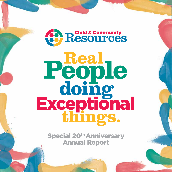

# **Real People doing things.** Exceptional

Special 20<sup>th</sup> Anniversary Annual Report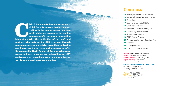**Child & Community Resources (formerly Child Care Resources) began January<br>1992 with the goal of supporting non-<br>profit childcare programs, developing<br>new non-profit centres and supporting<br>integration. With the dedication** Child Care Resources) began January 1992 with the goal of supporting nonprofit childcare programs, developing new non-profit centres and supporting integration. With the dedication of our staff and partners who make up the CCR team and through our support network, we strive to continue delivering and improving the services and programs we offer throughout the North Region of Ontario. With a new name, and new logo, we are celebrating our 20<sup>th</sup> anniversary by embarking on a new and affective way to connect with our communities.

 Message from the Board President Message from the Executive Director Board of Directors 2011-2012 11 Executive Leadership Team (ELT) Celebrating Staff Milestones 20 A Snapshot of the Last Operating Year

26 CCR's Continuum of Service

# **Contents**

- 
- 5<br>6<br>8<br>9
- 8 About CCR
- 
- 10 Our Catchment Region
- 
- 
- 14 A New Image for CCR
- 16 CCR's 20-Year Timeline
- 
- 22 Financials
- 24 Closing Remarks
- 

Design: OvertheAtlantic.com (Canada) Project Lead: Joseph Mansourian **Creative Director:** Julien Chaput RGD Project Manager: Jana Van de Rydt Editor: Amanda Young

Phone: 705.525.0055 Toll Free: 1.877.996.1599 **Fax: 705.525.0068** 

Child & Community Resources - Head Office 662 Falconbridge Road Sudbury, Ontario P3A 4S4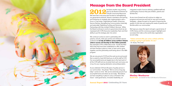



# Message from the Board President

**2012** has been another very exciting<br>
year for the Board of Directors a<br>
Child & Community Resources. year for the Board of Directors at We have had a very busy year focused on strengthening our governance practices, director orientation and training, and furthering our strategic plan implementation with a focus in 5 key areas: Organizational Health, Enhancing Service Delivery, Strengthening Communication (internally and externally), Stabilizing Funding and Nurturing Partnerships with like-minded Children's Services. While the Board continues to work at a governance level we are impressed with CCR's Executive Leadership Team and their ability to put the strategic plan into action.

We continue to strive to work in partnership with parents, schools, child care centres and children's service professionals to help all children across northern Ontario achieve success and develop to their fullest potential. Key examples of this collaborative work include the Best Start Hubs that have been established to offer children and their families a place to meet, to learn and to grow together, and the partnership work being done in the ABA

program.

We are very proud of CCR and the work we do and would like to extend a heart-felt thank you to all the staff at CCR. Our accomplishments are largely due to the hard work of all the CCR staff and we sincerely thank each and every one of you for your ongoing dedication and professionalism.

As we celebrate CCR and 20 years of quality service in our communities - the phrase "We've come a long way baby" comes to mind. We can be extremely proud of our accomplishments and where we are today. We believe we have everything in place to carry us forward in the future – solid governance, innovative leadership, an



integrated model of service delivery, qualified staff and a philosophy of service that puts children, parents and families first.

As we move forward we will continue to adapt our programs and services and look for new and innovative strategies – always focused on the goal of improving the quality of child care and meeting the needs of parents and families within our communities.

We hope you enjoy this report and gain a good sense of CCR's history and the numerous program highlights and successes that make us the world-class organization we are today.

#### *"Unless someone like you cares a whole awful lot, nothing is going to get better. It's not."*  - Dr. Seuss, The Lorax

#### **Shelley Westhaver**  Board Chair - on behalf of the CCR Board of Directors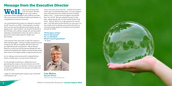# Message from the Executive Director

NCLI Serve are 20 years later!<br>
CCR, who knew? We have<br>
multi million dellar experiences with a staff of more than CCR, who knew? We have become a pan northern multi-million dollar organization with a staff of more than 160, and we service hundreds of children and families in a comprehensive continuum of services.

I am overwhelmed with emotion as I attempt to write this, my 20<sup>th</sup> report for our AGM. It has long been my belief that if you surround yourself with smart people, you will appear smart - well it worked! I am proud to be the ED of the CCR team who embrace change, who are resourceful, dedicated, and talented but above all, want to make our part of the world a better place for children and their families.

I have said this many times (well, at least 19), however it bears repeating again - Striving to quality seamless services is what we do! We do it together with each other and by collaborating with many partners. We are led by a Board (our current one and the previous Boards) who also embrace the belief that all children and their families should have access to the highest quality of supports and services.

So, for making me look smart and for making Northern Ontario a better place, my most sincere Thank you!

It is the strength of working our collaborations and partnerships that make us who and what we are at CCR. Throughout this report you will have a chance to see what we have accomplished over this last year and indeed over the last 20 years.

I really can't add anything else except to say my beloved CCR has grown up!

It has a new name and a new look. I wouldn't be honest if I didn't say it is somewhat bitter sweet - but just as parents shine with pride when their children become successful adults, so do I. I could not be any happier, any prouder than I am of CCR. We have achieved success in many ways - always though with our kids' interest at heart of all we do. Now it's time for us, to get going for the next 20 years. Let's take what we have learned, our new name, our new model of service delivery and combine that with our continued energy, passion for excellence and innovation, and with all of that -

"Oh the places we'll go! And we will succeed? Yes, we will indeed! 98 and 3/4 percent guaranteed!" - Dr. Seuss



**Lois Mahon** Executive Director Child & Community Resources

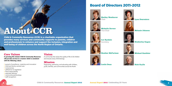8 Child & Community Resources **Annual Report 2012 Annual Report 2012** Celebrating 20 Years 9



#### **Vision**

A community that values the quality of life of all children and ensures every child belongs.



**Lee Rysdale Secretary** 





#### **Mission**

Supporting, partnering, and educating with children, youth, families, and communities across the North.

# **About CCR**



**Shelley Westhaver** Chair



**Michelle Zerwer**  Vice-Chair



**Leslie Dean**







Child & Commnity Resources (CCR) is a charitable organization that provides many services and community supports to parents, children and professionals to enhance and support the inclusion, integration and well-being of children across the North Region of Ontario.

### **Core Values**

In pursuing this mission Child & Community Resources will provide services in a manner which is consistent with the following values:

- pursuit of excellence, creativity and innovation
- child and family centred care
- inclusiveness
- adherence to legislation
- fiscal responsibility
- seamless delivery
- community partnerships
- staff recognition

**Lynn Desrosiers**

**Melanie Johncox** 

**Kimberley Gagan**

**Michael Gauthier**

**Rick Grylls**



## Board of Directors 2011-2012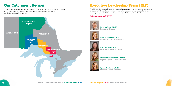# Our Catchment Region

CCR provides a range of programs and services for children across the North Region of Ontario including the Sudbury/Manitoulin Districts, Algoma District, Thunder Bay District, and the Kenora/Rainy River Districts.



# Executive Leadership Team (ELT)

The ELT provides strategic leadership, visible and active support, and demonstrates commitment that ensures CCR is on the right path to achieving its vision, mission and goals and continues evolving to provide the highest quality services to the children, youth and families we serve.

### **Members of ELT**



**Lois Mahon, RECE** Executive Director



**Sherry Fournier, MA** Associate Executive Director



**Lisa Grimard, BA** Director of Services - West



**Dr. Terri Barriault C. Psych.** Psychologist & Clinical Director



**Lynne Philion, CHRP** Director Central Services

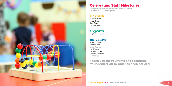

# Celebrating Staff Milestones

**Recognizing staff members who have been with CCR for 10, 15, and 20 years.**

Melanie Laurin Maria Rowsell Julie Sirard Debbie Howard

## **20 years**

Marilyn Clarini Kim Einarson Sherry Fournier Lois Mahon Daniel Gauthier Suzanne Shelswell Lori Pagnutti

Stephanie Coggins **15 years**

Thank you for your time and sacrifices. Your dedication to CCR has been noticed!





## **10 years**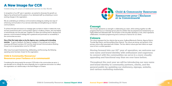

In recognition of our 20<sup>th</sup> year in operation, we wanted to showcase the growth our Agency has achieved and the passion of our dedicated staff, by embarking on some exciting changes in the organization.

We are undertaking an ambitious communications strategy by creating new ways of enhancing communication of our services externally and strengthening our internal communications.

exercise. To garner feedback, the Agency engaged in focus groups and creative meetings with Board members, ELT, and the newly formed Communications Working Group to act as representative voice for CCR staff.

To achieve the best and ensure our message gets out there to where it matters the most, we have joined forces with a communication agency in Sudbury, Ontario, who has helped us tremendously over the past year. Together our teams are working hard to develop and execute a communications strategy that is grassroots and promotes our accessibility in the communities we serve.

One of the first tasks taken on by the Agency was a naming and re-branding

After many hours spent brainstorming, deliberating, and fine-tuning, the following operating name has been chosen for the organization:

#### Child & Community Resources/ Ressources pour l'enfance et la communauté

Moving forward into our 20<sup>th</sup> year of operation, we welcome our new name and brand identity with enthusiasm and eagerness to connect with the communities we serve in a more visually appealing and functional way than we ever have before.

Considering the strong equity the acronym CCR holds in the communities we serve, it was decided not to change the name drastically, but to modernize and evolve it to reflect the organization as it stands today in the North Region of Ontario.



# A New Image for CCR

**Celebrating 20 years of dedicated service to the North** 

### **Concept**

The concept represents our strength in collaborating as a team, while working together we offer programs that focus on individual service plans for children that are prepared and maintained by our highly skilled and dedicated staff. The formation of the shoulders develops a circle, which represents collaboration, innovative programming and a continuum of service for our clients.

### **Colours**

The colours represent the four districts that we serve, Sudbury/Manitoulin Districts, Algoma District, Thunder Bay District, and Kenora/Rainy River Districts. The colours are strong, and symbolic of the primary colours often associated with children. The four distinct colours give each district an equal voice to form a unified operation.

Throughout the next year we will be introducing our new name and brand identity to community partners, clients, and the general public by updating our stationery, signage, website, and various marketing materials.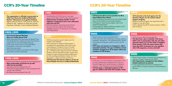# CCR's 20-Year Timeline CCR's 20-Year Timeline

#### **1992**

### **2000**

- CCR becomes the central intake point for children with PDD/DH
- CCR proposal for Regional IBI program is accepted and partnerships with Community Living Algoma, Children's Centre Thunder Bay, Integrated Services Northwest are set up. In keeping with regional services mandate (Sudbury east to Manitoba border) legal name change is made dropping Sudbury Manitoulin for the new Regional Autism Centre. Dr. Tom Managhan is appointed Clinical Director CCR becomes the lead for delivery of Out-of-
- CCR receives French Language Services Designation Home Respite Services in Sudbury-Manitoulin

#### **1996-1998**

- 
- Many partnerships /protocols set up with other service providers
- Jane Bauer becomes Board Chair, 97'
- CCR assumes responsibility for case management for children with PDD/DH.
- Bey Baxter becomes Board Chair, 98'

#### **2002**

#### **1999**

#### **2003**

# **1993-1995 <sup>2005</sup>**

#### **2004**

- 
- 
- 
- 

- 
- 

### **2006**

- 
- 
- 
- 

- The organization is officially incorporated as Child Care Resources Sudbury/Manitoulin District / Ressources sur la garde d'enfants
- Agency sets up shop at 1130 Lorne St. with Toy Library on site , supports to child care include Supervisor, Educator, Cook and Board Network

- Pauline Dietrich becomes Board Chair
- CCR, with Early Years Challenge Funding, opens a paediatric assessment Five paediatricians commit to provide one day per month at a clinic at 319 Lasalle
- CCR vision and mission are changed to reflect expanded mandate. The age of children served would be changed to 0-18 to better reflect the mandate of CCR funders.

- CCR pulls out of the Children's Cooperative; The Co-op is dissolved and replaced by a new notfor-profit agency for central access to children's services – The Children's Community Network.
- • CCR develops a residential program to fill a gap for children with ASD with complex needs.

• CCR moves to 662 Falconbridge Rd. • The Best Start plan is initiated. CCR closes OEYC sites in partnership with city and other agencies opens 4 of 12 new Hubs in neighborhood schools. CCR's QA report shows that more than 80% of parents are very satisfied with CCR programs, services and staff.

#### CCR selected as the lead agency for the Northern Region for the Autism School Support Program.

Regional Autism Program has expanded with a budget of over \$2 million

CCR is affected by MCYS implementation of Best Start Initiative.

• Sherry Fournier takes a one-year leave of absence to work as a Program Supervisor for MCYS

#### • CCR Board hosts a Hospital for Sick Children funded conference for parents

• A new organizational structure is adopted and Lynne Philion is chosen as Director of Administrative Services

- • Downloading of Child Care to municipal governments affect CCR funding and programs
- CCR becomes founding member of new Children's Cooperative and is now collocated with CAS and CFC
- CCR and partners, Developmental Clinical Services and the Catholic School Board, establish a Section 19 Classroom for children with PDD/Autism.
- CCR becomes direct service provider for IBI in Kenora/Rainy River district
- CCR is selected as the lead for the new Ontario Early Years Centre (OEYC) for the Sudbury Riding
- CCR takes on Cybermoms program, later to be renamed Cyberparents
- CCR transfers St. Albert's childcare program to the Jubilee Heritage Family Resources

- • First Annual General Meeting, Mary Lou Coffey Board Chair
- Marie Desmarais-Santi becomes the Board Chair and leads Board to adopting Carver Governance model with its own Governance Policies
- CCR grows and moves to 319 Lasalle Blvd
- • CCR opens a child care in St Albert's Adult learning centre
- Government funding cuts reduces CCR budget and CCR is forced to downsize.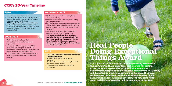# CCR's 20-Year Timeline

CCR is pleased to announce our 'Real People Doing Exceptional Things Award' will have a new face. Each year we will continue to use the award to recognize an individual or group that demonstrates exceptional and measurable commitment to creativity and dedication to children, youth and their families. The award will recognize the actions that promote inclusive quality of life, partnerships, collaboration and advocacy. The new name for the award and this year's recipient will be announced at the AGM.

### **2008-2011 con't**

#### **2008-2011**

- OEYC North approached CCR with a plan to amalgamate in Lively
- OHR direct services are enhanced; direct funding program goes over to CCN.
- CCR becomes the regional service provider for ABA Program part of the proposal included a "continuum of services model" which was then utilized across the agency
- Both the vision and mission were revisited and modified to better reflect CCR's true vision
- CCR restructures its leadership. An office is opened in Thunder Bay to support North West operations. Lisa Grimard is appointed Director North West, Dr. Terri Barriault is appointed Clinical Director and Sherry Fournier is appointed Associate Executive Director
- Maxine King becomes Board Chair
- CCR is officially recognized as a charitable organization.
- **CCR** identifies AIP service pressures to MCYS. MCYS completes a program review of CCR regarding the pressures; funding is augmented but not enough to retain current service levels
- **CCR** assumes responsibility of the only Children's DS/ PDD group home from Christian Horizon's in Sudbury
- Eve Kremyr becomes Board Chair
- CCR takes on clinical services for autism, which are divested from Developmental Clinical Services, Northeast Mental Health Centre.
- CCR integrates its autism services internally
- CCR increases SNR capacity to enhance services to Francophone centres, Another QA client consultation shows that CCR clients remain highly satisfied

- Child Care Resources is rebranded as Child and Community Resources.
- A new visual identity for the organization is created
- Visual standards are created and implemented throughout the organization
- 20th anniversary celebrations in addition to the AGM

# **Real People Doing Exceptional Things Award**

#### **2007**

### **2012**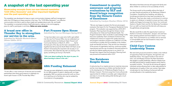### **A brand new office in Thunder Bay to strengthen our service in the area.**

Submitted by Michelle Murdoch-Gibson (Winter Edition 2012)



"A new office, a new continuum of services and successful partnerships were three good reasons to celebrate at a recent open house in CCR's Thunder Bay Office."

**CALIFORNIA** 

### **Fort Frances Open House**

Submitted by Tara Lee Montague (Spring 2012)

"It may have taken over a year and a half to get settled into the new Fort Frances Office, but we celebrated our successful transition by hosting an Open House to all Community Partners on March 21, 2012. ………By far the best part of the day was the team camaraderie and togetherness felt across the North West CCR Team as we shared in showcasing the important role we play in our communities. We ended the day with Lois sharing in this quote, something we live by in the North:

The newsletter was developed to keep an open communication between staff and management within the CCR Agency to keep everyone in the loop. The "CCR Office Newswire" is an effective communication tool that is used to share insight and updates about work, life, and health. The newsletter is comprised entirely of staff submissions, making it a fun and engaging piece for staff to participate in and share. Below are some excerpts.

> *"Life is not about waiting for the storm to pass, it's about learning to dance in the rain."*

### **ABA Funding Enhanced**

This year we were delighted to receive enhanced funding for our ABA program to assist in dealing with our large geography. With our partners across the north our focus is on reaching out to families who may be isolated by circumstance or by geography.

# A snapshot of the last operating year

Showcasing excerpts from our new internal newsletter 'CCR Office Newswire' and other important highlights over the past operating year.

#### **Commitment to quality assurance and program evaluations by ELT and Board brings recognition from the Ontario Centre of Excellence**

Submitted by Carolynn Sheehan (Winter 2012)

We also would like to take this opportunity to send our thanks to Corriveau Construction. Jacques and Joel have been amazing partners and have helped us out in many ways. Their commitment to our children and our services is commendable and we look forward to many more years of partnership.

"We are very happy to present the first annual program evaluation final report for the Therapeutic Residential Home program. This evaluation was supported by a 2010-2011 Evaluation Planning Grant through the Ontario Centre of Excellence for Child and Youth Mental Health. The Program Evaluation Team would like to acknowledge CCR's Executive Leadership Team and Board of Directors who initiated and continue to support the quality assurance and program evaluation programs as a reflection of CCR's commitment to quality and accountability to the children, youth and families we serve. They are the true champions of the pursuit of organization learning, continuous quality improvement and the use of evidence informed practice to provide the highest quality services to our clients. It is through their support that this Evaluation Planning Grant was pursued and sustained within CCR."

#### **Ten Rainbows Respite House**

A restructuring of our respite services to maximize resources and be more responsive to children and families has led to the development of 10 Rainbows Respite House on Windsor Crescent. This home away from home will provide opportunities for children to socialize, gain independence and relax in a home like setting while families get a much needed respite.

We believe that these services will support the family and allow children to continue to live successfully at home.

The House would not be possible without the help of our dear friends and partners at Ten Rainbows Children's Foundation. Everything from bedding, and dishes to furnishings and electronics have been provided by Ten Rainbows. They have also made a commitment to continue to assist us in whatever is needed to ensure we have a safe, healthy and happy home away from home. Our continued thanks to Claudio Clarini and the Ten Rainbows Foundation, from our staff, our board and the kids who will enjoy your thoughtfulness and generosity.

### **Child Care Centres Leadership Teams**

We were both proud and excited to initiate a new method of supporting Child Care Programs, through their own leadership teams. This support builds on the work of Irwin, Lero and Brophy Inclusion the Next Generation that speaks to quality leadership, effective infrastructure and staff training lead to quality programs which lead to successful inclusion. The work we are doing will support individual centres allowing them to take responsibility for development of quality in their own centres. Next steps include plans for new funding of enhanced staff and including Boards in the Leadership teams.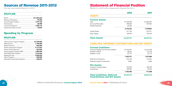

# Sources of Revenue 2011-2012

**For the year-ended March 31, 2012**

#### \$15,171,428

### **Spending by Program**

#### \$15,171,428

| CGS-Inclusion Support Program \$1,478,066 |  |
|-------------------------------------------|--|
|                                           |  |
|                                           |  |
|                                           |  |
|                                           |  |
| School Support Program/ASD1,685,540       |  |
|                                           |  |
|                                           |  |
|                                           |  |
| Allocated Central Administration246,870   |  |

# Statement of Financial Position

**March 31, 2012 with comparative figures for 2011.** 

#### ASSETS

#### LIABILITIES, DEFERRED CONTRIBUTIONS AND NET ASSETS

#### **Current Liabilities**

| <b>Current Assets</b> |             |  |
|-----------------------|-------------|--|
| Cash                  | \$1,709,448 |  |
| Accounts Receivable   | 398,024     |  |
| Prepaid Expenses      | 63,250      |  |
|                       | 2,170,722   |  |
| <b>Capital Assets</b> | 917,148     |  |
| Other Assets          | 160,929     |  |
| <b>Total Assets</b>   | \$3,248,799 |  |

| <b>Total Liabilities, Deferred</b><br><b>Contributions and Net Assets</b> | \$3,248,799 |
|---------------------------------------------------------------------------|-------------|
|                                                                           | 1,104,748   |
| Unrestricted                                                              | 189,685     |
| <b>Net Assets:</b><br>Invested in Capital Assets                          | 915,063     |
| Deferred Captial Contributions                                            | 2,085       |
| Deferred Contributions                                                    | 376,189     |
|                                                                           | 1,765,777   |
| Payable to CGS                                                            | 33,115      |
| Payable to MCYS                                                           | 28,665      |
| Accounts Payable and Accrued Liabilities                                  | \$1,703,997 |



#### 2012 2011

\$1,413,548 131,146 33,115

#### 1,577,809

 313,481 2,606

 668,185 43,653

711,838

#### \$2,605,734

**Complete Automobile Contract of Automobile** 

\$1,249,429 529,406 -

#### 1,778,835

 670,791 156,108

\$2,605,734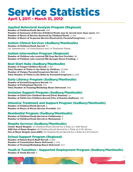# Service Statistics April 1, 2011 – March 31, 2012

#### Applied Behavioral Analysis Program (Regional)

**Number of Children/Youth Served:** 240 **Number of Instances of Service (Children/Youth may be served more than once):** 265 **Number of Hours of Service Received by Children/Youth:** 3,192 **Number of Hours of In-person Service Received by Parents/Caregivers:** 1,133

#### Autism Clinical Services (Sudbury/Manitoulin)

**Number of Children/Youth Served:** 71 (42 Assessments, 10 Consultations and 19 Treatment Plans)

#### Autism Intervention Program (Regional)

**Number of Children who received IBI from Service Provider:** 80 **Number of Children who received IBI through Direct Funding:** 2

#### Best Start Hubs (Sudbury/Manitoulin)

**Number of Unique Children Served:** 2,357 **Total Number of Visits to the Hubs by Children:** 15,836 **Number of Unique Parents/Caregivers Served:** 1,892 **Total Number of Visits to the Hubs by Parents/Caregivers:**11,432

#### Early Literacy Program (Sudbury/Manitoulin)

**Number of Parent/Caregivers Served:** 99 **Number of Professional Served:** 721 **Total Number of Training/Workshop Hours Delivered:** 405

#### Inclusion Support Program (Sudbury/Manitoulin)

**Number of Child Care Children Served (First Nations):** 12 **Number of Child Care Children Served (City of Greater Sudbury):** 166

#### Intensive Treatment and Support Program (Sudbury/Manitoulin)

**Number of Children/Youth Served:** 3 **Number of Hours of Direct Service Provided:** 869

#### Residential Program (Sudbury/Manitoulin)

**Number of Children/Youth Served at Coldstream:** 6 **Number of Children/Youth Served at Westmount:** 3

#### Respite Services (Sudbury/Manitoulin)

**Center Based Respite:** 10 Children/Youth Served for a Total of 1,658 Hours **ASD Out of Home Respite:** 28 Children/Youth Served for a Total of 2,761 Hours **Out of Home Respite (non-ASD):** 50 Children/Youth Served for a Total of 4,315 Hours

#### School Support Program (Regional)

**Number of School Board Staff Served:** 3,406 **Number of Consultation Hours Delivered:** 1,744 **Number of Training/Workshop Hours Delivered:** 514

#### Youth in Transition - Supported Employment Program (Sudbury/Manitoulin)

**Number of Youth Served:** 5



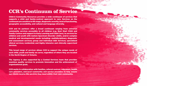Child & Community Resources provides a wide continuum of services that supports a child and family-centred approach to care. Services on the continuum are sensitive to life stage, diagnostic severity, level of functioning, geographic accessibility, and cultural and language diversity.

CCR and its partners offer a broad continuum ranging from universal community services accessible to all children (e.g. Best Start Child and Family Centres and support to Early Learning and Child Care), to services for children and youth with Autism Spectrum Disorder (ASD), and/or complex medical and developmental needs including: multidisciplinary diagnostic and assessment services; group and individual ABA Services; specialized clinical services; residential; and highly intensive and clinically supervised services.

This broad range of services allows CCR to support the unique needs of each child, youth and family we serve, regardless of where they are located in the North Region of Ontario.

The Agency is also supported by a Central Services team that provides seamless quality services to promote innovation and the achievement of organizational goals.

CCR works in collaboration with families, referral sources, educators, health care providers, and local community and service providers to help ensure our clients receive the services they need within their own community.





# **CCR's Continuum of Service**